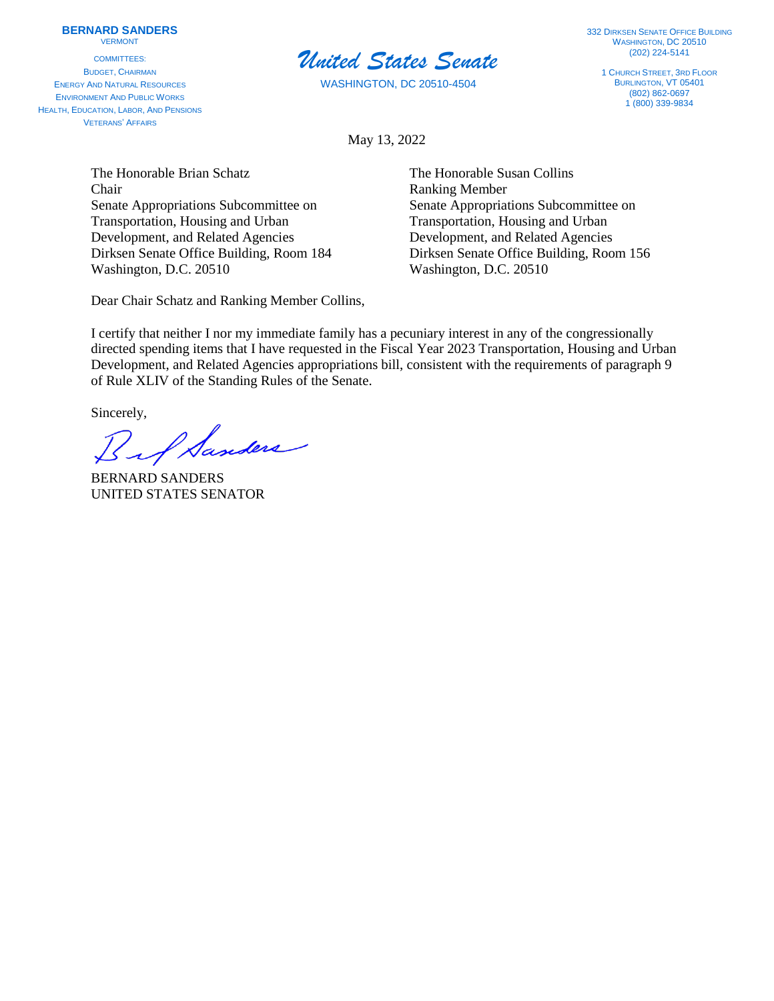## **BERNARD SANDERS**

VERMONT

COMMITTEES: BUDGET, CHAIRMAN ENERGY AND NATURAL RESOURCES ENVIRONMENT AND PUBLIC WORKS HEALTH, EDUCATION, LABOR, AND PENSIONS VETERANS' AFFAIRS



WASHINGTON, DC 20510-4504

**332 DIRKSEN SENATE OFFICE BUILDING** WASHINGTON, DC 20510 (202) 224-5141

1 CHURCH STREET, 3RD FLOOR BURLINGTON, VT 05401 (802) 862-0697  $1(800)$  339-9834

May 13, 2022

The Honorable Brian Schatz The Honorable Susan Collins Chair Ranking Member Senate Appropriations Subcommittee on Senate Appropriations Subcommittee on Transportation, Housing and Urban Transportation, Housing and Urban Development, and Related Agencies Development, and Related Agencies Washington, D.C. 20510 Washington, D.C. 20510

Dear Chair Schatz and Ranking Member Collins,

Dirksen Senate Office Building, Room 184 Dirksen Senate Office Building, Room 156

I certify that neither I nor my immediate family has a pecuniary interest in any of the congressionally directed spending items that I have requested in the Fiscal Year 2023 Transportation, Housing and Urban Development, and Related Agencies appropriations bill, consistent with the requirements of paragraph 9 of Rule XLIV of the Standing Rules of the Senate.

Sincerely,<br>But Sanders

BERNARD SANDERS UNITED STATES SENATOR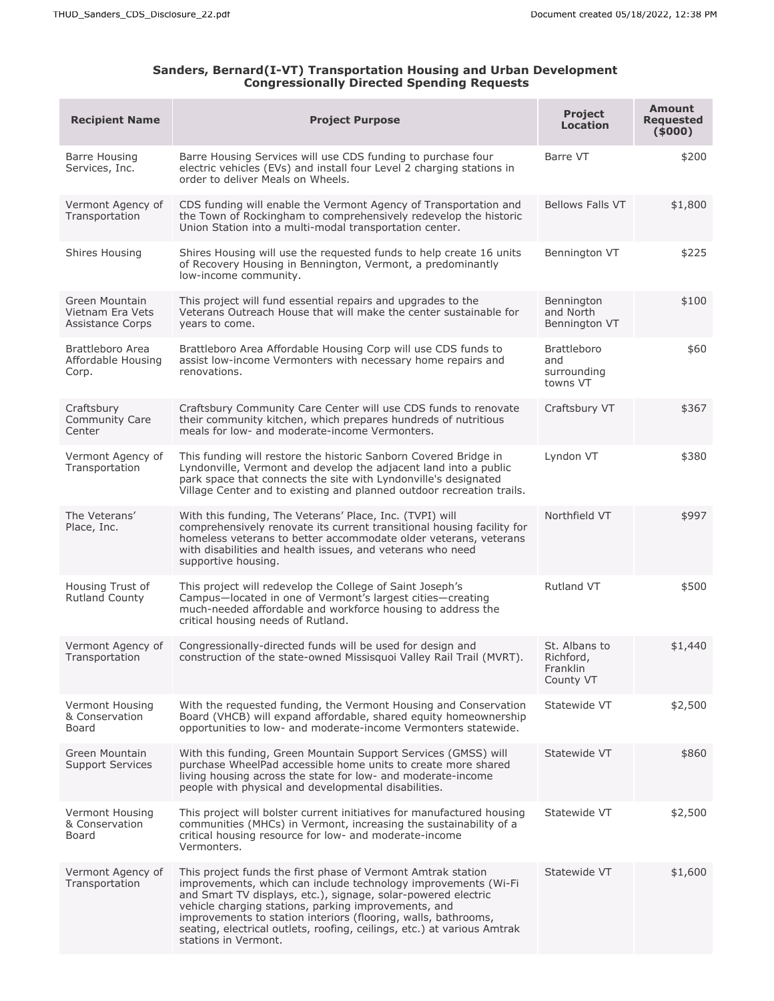## **Sanders, Bernard(I-VT) Transportation Housing and Urban Development Congressionally Directed Spending Requests**

| <b>Recipient Name</b>                                  | <b>Project Purpose</b>                                                                                                                                                                                                                                                                                                                                                                                                       | Project<br><b>Location</b>                           | <b>Amount</b><br><b>Requested</b><br>(5000) |
|--------------------------------------------------------|------------------------------------------------------------------------------------------------------------------------------------------------------------------------------------------------------------------------------------------------------------------------------------------------------------------------------------------------------------------------------------------------------------------------------|------------------------------------------------------|---------------------------------------------|
| Barre Housing<br>Services, Inc.                        | Barre Housing Services will use CDS funding to purchase four<br>electric vehicles (EVs) and install four Level 2 charging stations in<br>order to deliver Meals on Wheels.                                                                                                                                                                                                                                                   | Barre VT                                             | \$200                                       |
| Vermont Agency of<br>Transportation                    | CDS funding will enable the Vermont Agency of Transportation and<br>the Town of Rockingham to comprehensively redevelop the historic<br>Union Station into a multi-modal transportation center.                                                                                                                                                                                                                              | Bellows Falls VT                                     | \$1,800                                     |
| Shires Housing                                         | Shires Housing will use the requested funds to help create 16 units<br>of Recovery Housing in Bennington, Vermont, a predominantly<br>low-income community.                                                                                                                                                                                                                                                                  | Bennington VT                                        | \$225                                       |
| Green Mountain<br>Vietnam Era Vets<br>Assistance Corps | This project will fund essential repairs and upgrades to the<br>Veterans Outreach House that will make the center sustainable for<br>years to come.                                                                                                                                                                                                                                                                          | Bennington<br>and North<br>Bennington VT             | \$100                                       |
| Brattleboro Area<br>Affordable Housing<br>Corp.        | Brattleboro Area Affordable Housing Corp will use CDS funds to<br>assist low-income Vermonters with necessary home repairs and<br>renovations.                                                                                                                                                                                                                                                                               | <b>Brattleboro</b><br>and<br>surrounding<br>towns VT | \$60                                        |
| Craftsbury<br><b>Community Care</b><br>Center          | Craftsbury Community Care Center will use CDS funds to renovate<br>their community kitchen, which prepares hundreds of nutritious<br>meals for low- and moderate-income Vermonters.                                                                                                                                                                                                                                          | Craftsbury VT                                        | \$367                                       |
| Vermont Agency of<br>Transportation                    | This funding will restore the historic Sanborn Covered Bridge in<br>Lyndonville, Vermont and develop the adjacent land into a public<br>park space that connects the site with Lyndonville's designated<br>Village Center and to existing and planned outdoor recreation trails.                                                                                                                                             | Lyndon VT                                            | \$380                                       |
| The Veterans'<br>Place, Inc.                           | With this funding, The Veterans' Place, Inc. (TVPI) will<br>comprehensively renovate its current transitional housing facility for<br>homeless veterans to better accommodate older veterans, veterans<br>with disabilities and health issues, and veterans who need<br>supportive housing.                                                                                                                                  | Northfield VT                                        | \$997                                       |
| Housing Trust of<br><b>Rutland County</b>              | This project will redevelop the College of Saint Joseph's<br>Campus-located in one of Vermont's largest cities-creating<br>much-needed affordable and workforce housing to address the<br>critical housing needs of Rutland.                                                                                                                                                                                                 | Rutland VT                                           | \$500                                       |
| Vermont Agency of<br>Transportation                    | Congressionally-directed funds will be used for design and<br>construction of the state-owned Missisquoi Valley Rail Trail (MVRT).                                                                                                                                                                                                                                                                                           | St. Albans to<br>Richford,<br>Franklin<br>County VT  | \$1,440                                     |
| Vermont Housing<br>& Conservation<br>Board             | With the requested funding, the Vermont Housing and Conservation<br>Board (VHCB) will expand affordable, shared equity homeownership<br>opportunities to low- and moderate-income Vermonters statewide.                                                                                                                                                                                                                      | Statewide VT                                         | \$2,500                                     |
| Green Mountain<br><b>Support Services</b>              | With this funding, Green Mountain Support Services (GMSS) will<br>purchase WheelPad accessible home units to create more shared<br>living housing across the state for low- and moderate-income<br>people with physical and developmental disabilities.                                                                                                                                                                      | Statewide VT                                         | \$860                                       |
| Vermont Housing<br>& Conservation<br>Board             | This project will bolster current initiatives for manufactured housing<br>communities (MHCs) in Vermont, increasing the sustainability of a<br>critical housing resource for low- and moderate-income<br>Vermonters.                                                                                                                                                                                                         | Statewide VT                                         | \$2,500                                     |
| Vermont Agency of<br>Transportation                    | This project funds the first phase of Vermont Amtrak station<br>improvements, which can include technology improvements (Wi-Fi<br>and Smart TV displays, etc.), signage, solar-powered electric<br>vehicle charging stations, parking improvements, and<br>improvements to station interiors (flooring, walls, bathrooms,<br>seating, electrical outlets, roofing, ceilings, etc.) at various Amtrak<br>stations in Vermont. | Statewide VT                                         | \$1,600                                     |